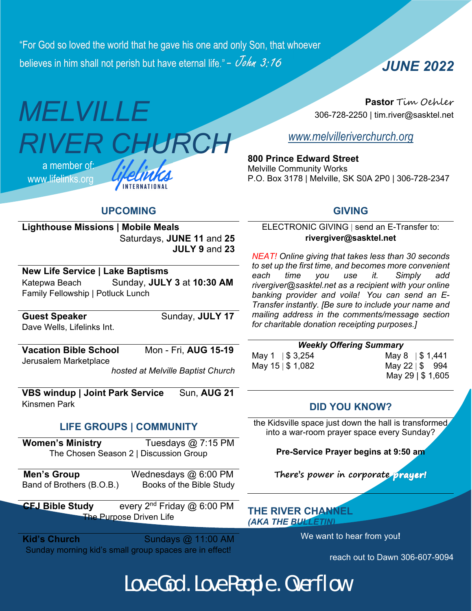"For God so loved the world that he gave his one and only Son, that whoever believes in him shall not perish but have eternal life." -  $\dot{\vee}$ ohn 3:16

# *MELVILLE RIVER CHURCH*  a member of: www.lifelinks.org INTERNATIONAL

**Pastor** Tim Oehler 306-728-2250 | tim.river@sasktel.net

*JUNE 2022*

*www.melvilleriverchurch.org*

**800 Prince Edward Street** Melville Community Works P.O. Box 3178 | Melville, SK S0A 2P0 | 306-728-2347

# **UPCOMING**

#### **Lighthouse Missions | Mobile Meals**  Saturdays, **JUNE 11** and **25 JULY 9** and **23**

## **New Life Service | Lake Baptisms**

Katepwa Beach Sunday, **JULY 3** at **10:30 AM**  Family Fellowship | Potluck Lunch

Dave Wells, Lifelinks Int.

**Guest Speaker Sunday, JULY 17** 

**Vacation Bible School** Mon - Fri, **AUG 15-19** Jerusalem Marketplace

*hosted at Melville Baptist Church* 

**VBS windup | Joint Park Service Sun, AUG 21** Kinsmen Park

# **LIFE GROUPS | COMMUNITY**

**Women's Ministry** Tuesdays @ 7:15 PM The Chosen Season 2 | Discussion Group

**Men's Group** Wednesdays @ 6:00 PM Band of Brothers (B.O.B.) Books of the Bible Study

**CFJ Bible Study** every 2nd Friday @ 6:00 PM The Purpose Driven Life

**Kid's Church**  Sundays @ 11:00 AM Sunday morning kid's small group spaces are in effect!

## **GIVING**

ELECTRONIC GIVING | send an E-Transfer to: **rivergiver@sasktel.net** 

*NEAT! Online giving that takes less than 30 seconds to set up the first time, and becomes more convenient each time you use it. Simply add rivergiver@sasktel.net as a recipient with your online banking provider and voila! You can send an E-Transfer instantly. [Be sure to include your name and mailing address in the comments/message section for charitable donation receipting purposes.]* 

#### *Weekly Offering Summary*  May 1 | \$ 3,254 May 8 | \$ 1,441 May  $15 \mid $1,082$  May  $22 \mid $994$

May 29 | \$ 1,605

# **DID YOU KNOW?**

the Kidsville space just down the hall is transformed into a war-room prayer space every Sunday?

**Pre-Service Prayer begins at 9:50 am**

**There's power in corporate** 

**THE RIVER CHANNEL**  *(AKA THE BULLETIN)*

We want to hear from you**!**

reach out to Dawn 306-607-9094

Love God . Love People . Overflow